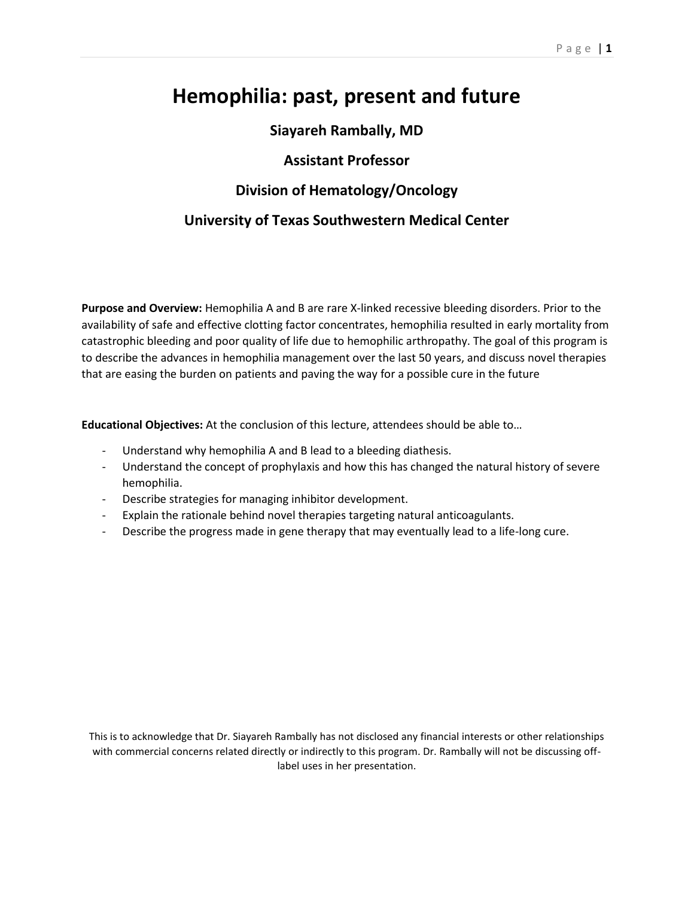# **Hemophilia: past, present and future**

# **Siayareh Rambally, MD**

# **Assistant Professor**

# **Division of Hematology/Oncology**

# **University of Texas Southwestern Medical Center**

**Purpose and Overview:** Hemophilia A and B are rare X-linked recessive bleeding disorders. Prior to the availability of safe and effective clotting factor concentrates, hemophilia resulted in early mortality from catastrophic bleeding and poor quality of life due to hemophilic arthropathy. The goal of this program is to describe the advances in hemophilia management over the last 50 years, and discuss novel therapies that are easing the burden on patients and paving the way for a possible cure in the future

**Educational Objectives:** At the conclusion of this lecture, attendees should be able to…

- Understand why hemophilia A and B lead to a bleeding diathesis.
- Understand the concept of prophylaxis and how this has changed the natural history of severe hemophilia.
- Describe strategies for managing inhibitor development.
- Explain the rationale behind novel therapies targeting natural anticoagulants.
- Describe the progress made in gene therapy that may eventually lead to a life-long cure.

This is to acknowledge that Dr. Siayareh Rambally has not disclosed any financial interests or other relationships with commercial concerns related directly or indirectly to this program. Dr. Rambally will not be discussing offlabel uses in her presentation.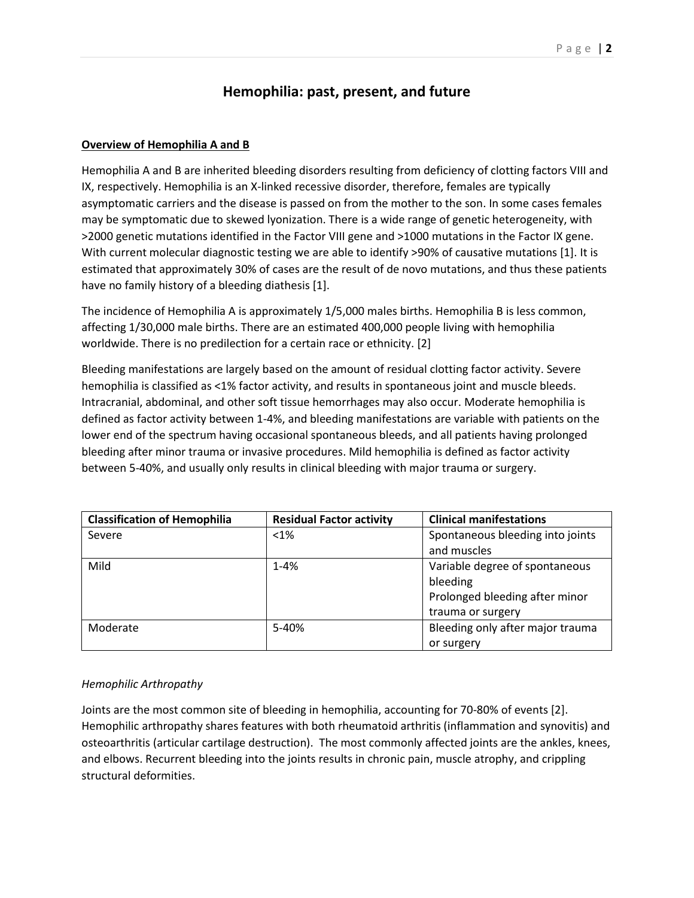# **Hemophilia: past, present, and future**

#### **Overview of Hemophilia A and B**

Hemophilia A and B are inherited bleeding disorders resulting from deficiency of clotting factors VIII and IX, respectively. Hemophilia is an X-linked recessive disorder, therefore, females are typically asymptomatic carriers and the disease is passed on from the mother to the son. In some cases females may be symptomatic due to skewed lyonization. There is a wide range of genetic heterogeneity, with >2000 genetic mutations identified in the Factor VIII gene and >1000 mutations in the Factor IX gene. With current molecular diagnostic testing we are able to identify >90% of causative mutations [1]. It is estimated that approximately 30% of cases are the result of de novo mutations, and thus these patients have no family history of a bleeding diathesis [1].

The incidence of Hemophilia A is approximately 1/5,000 males births. Hemophilia B is less common, affecting 1/30,000 male births. There are an estimated 400,000 people living with hemophilia worldwide. There is no predilection for a certain race or ethnicity. [2]

Bleeding manifestations are largely based on the amount of residual clotting factor activity. Severe hemophilia is classified as <1% factor activity, and results in spontaneous joint and muscle bleeds. Intracranial, abdominal, and other soft tissue hemorrhages may also occur. Moderate hemophilia is defined as factor activity between 1-4%, and bleeding manifestations are variable with patients on the lower end of the spectrum having occasional spontaneous bleeds, and all patients having prolonged bleeding after minor trauma or invasive procedures. Mild hemophilia is defined as factor activity between 5-40%, and usually only results in clinical bleeding with major trauma or surgery.

| <b>Classification of Hemophilia</b> | <b>Residual Factor activity</b> | <b>Clinical manifestations</b>   |
|-------------------------------------|---------------------------------|----------------------------------|
| Severe                              | $< 1\%$                         | Spontaneous bleeding into joints |
|                                     |                                 | and muscles                      |
| Mild                                | $1 - 4%$                        | Variable degree of spontaneous   |
|                                     |                                 | bleeding                         |
|                                     |                                 | Prolonged bleeding after minor   |
|                                     |                                 | trauma or surgery                |
| Moderate                            | 5-40%                           | Bleeding only after major trauma |
|                                     |                                 | or surgery                       |

## *Hemophilic Arthropathy*

Joints are the most common site of bleeding in hemophilia, accounting for 70-80% of events [2]. Hemophilic arthropathy shares features with both rheumatoid arthritis (inflammation and synovitis) and osteoarthritis (articular cartilage destruction). The most commonly affected joints are the ankles, knees, and elbows. Recurrent bleeding into the joints results in chronic pain, muscle atrophy, and crippling structural deformities.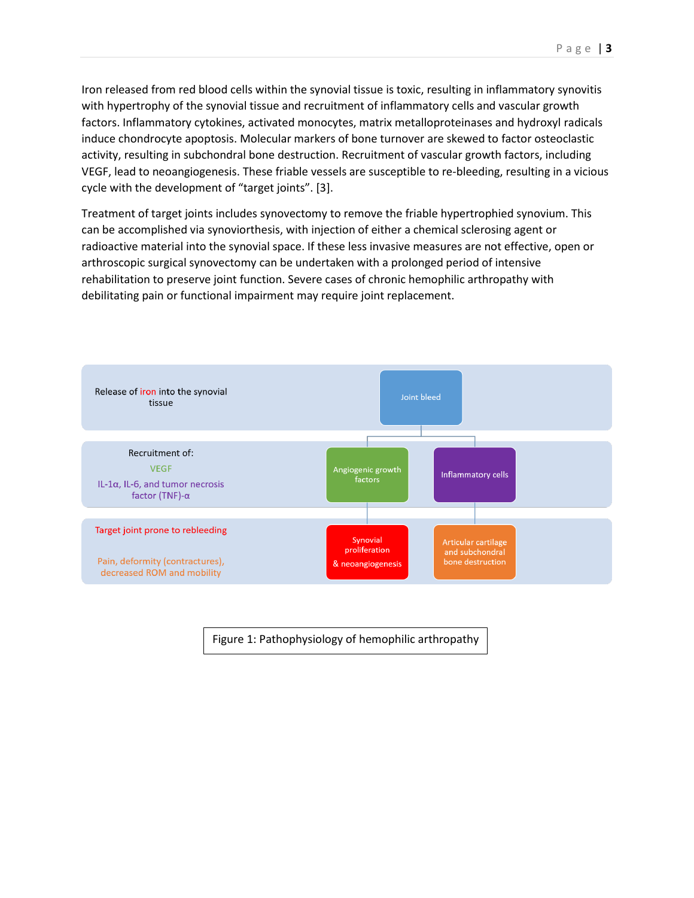Iron released from red blood cells within the synovial tissue is toxic, resulting in inflammatory synovitis with hypertrophy of the synovial tissue and recruitment of inflammatory cells and vascular growth factors. Inflammatory cytokines, activated monocytes, matrix metalloproteinases and hydroxyl radicals induce chondrocyte apoptosis. Molecular markers of bone turnover are skewed to factor osteoclastic activity, resulting in subchondral bone destruction. Recruitment of vascular growth factors, including VEGF, lead to neoangiogenesis. These friable vessels are susceptible to re-bleeding, resulting in a vicious cycle with the development of "target joints". [3].

Treatment of target joints includes synovectomy to remove the friable hypertrophied synovium. This can be accomplished via synoviorthesis, with injection of either a chemical sclerosing agent or radioactive material into the synovial space. If these less invasive measures are not effective, open or arthroscopic surgical synovectomy can be undertaken with a prolonged period of intensive rehabilitation to preserve joint function. Severe cases of chronic hemophilic arthropathy with debilitating pain or functional impairment may require joint replacement.



Figure 1: Pathophysiology of hemophilic arthropathy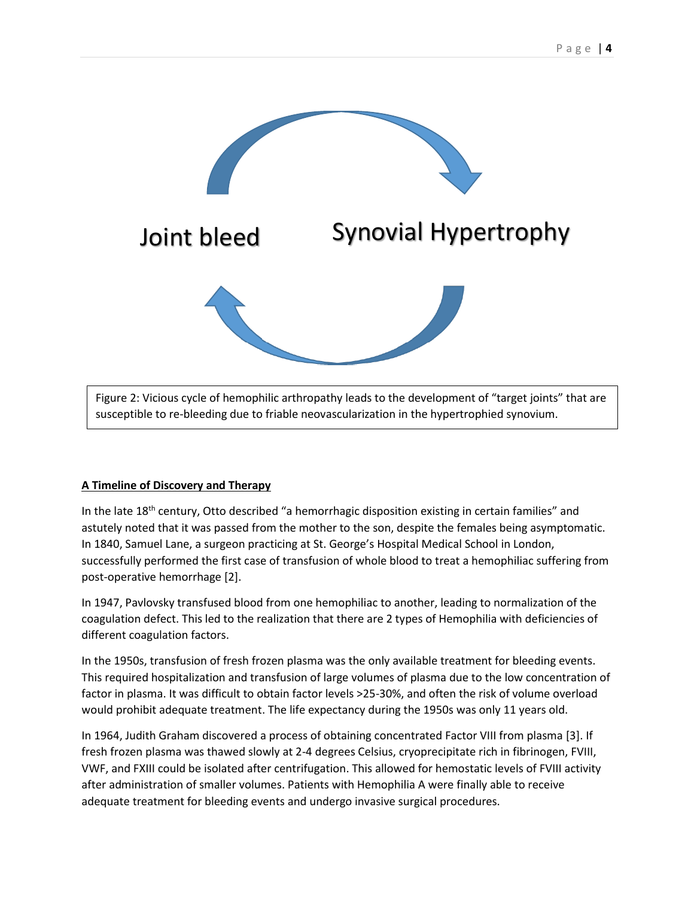

Figure 2: Vicious cycle of hemophilic arthropathy leads to the development of "target joints" that are susceptible to re-bleeding due to friable neovascularization in the hypertrophied synovium.

## **A Timeline of Discovery and Therapy**

In the late 18<sup>th</sup> century, Otto described "a hemorrhagic disposition existing in certain families" and astutely noted that it was passed from the mother to the son, despite the females being asymptomatic. In 1840, Samuel Lane, a surgeon practicing at St. George's Hospital Medical School in London, successfully performed the first case of transfusion of whole blood to treat a hemophiliac suffering from post-operative hemorrhage [2].

In 1947, Pavlovsky transfused blood from one hemophiliac to another, leading to normalization of the coagulation defect. This led to the realization that there are 2 types of Hemophilia with deficiencies of different coagulation factors.

In the 1950s, transfusion of fresh frozen plasma was the only available treatment for bleeding events. This required hospitalization and transfusion of large volumes of plasma due to the low concentration of factor in plasma. It was difficult to obtain factor levels >25-30%, and often the risk of volume overload would prohibit adequate treatment. The life expectancy during the 1950s was only 11 years old.

In 1964, Judith Graham discovered a process of obtaining concentrated Factor VIII from plasma [3]. If fresh frozen plasma was thawed slowly at 2-4 degrees Celsius, cryoprecipitate rich in fibrinogen, FVIII, VWF, and FXIII could be isolated after centrifugation. This allowed for hemostatic levels of FVIII activity after administration of smaller volumes. Patients with Hemophilia A were finally able to receive adequate treatment for bleeding events and undergo invasive surgical procedures.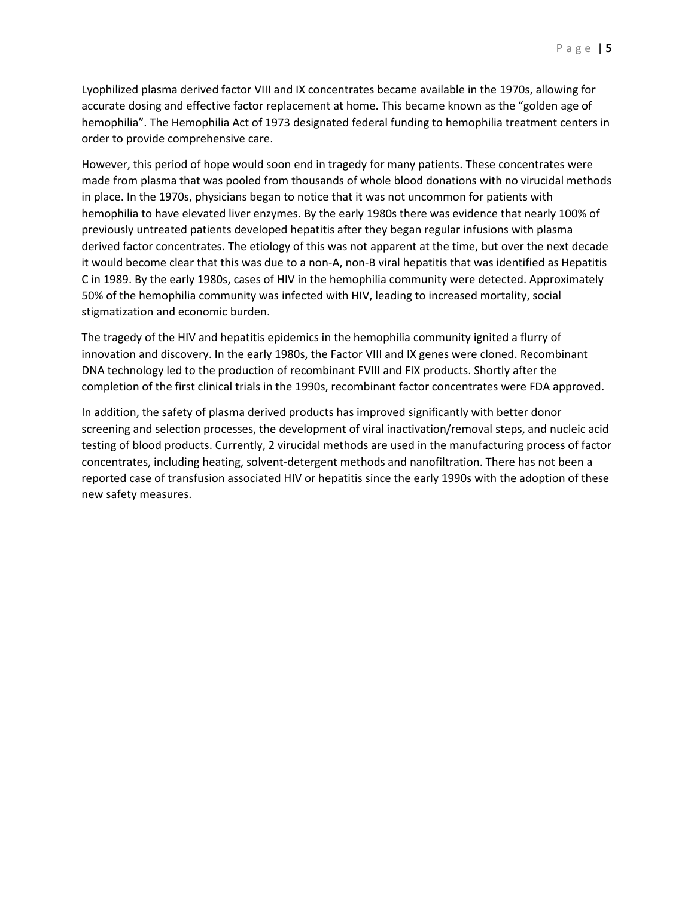Lyophilized plasma derived factor VIII and IX concentrates became available in the 1970s, allowing for accurate dosing and effective factor replacement at home. This became known as the "golden age of hemophilia". The Hemophilia Act of 1973 designated federal funding to hemophilia treatment centers in order to provide comprehensive care.

However, this period of hope would soon end in tragedy for many patients. These concentrates were made from plasma that was pooled from thousands of whole blood donations with no virucidal methods in place. In the 1970s, physicians began to notice that it was not uncommon for patients with hemophilia to have elevated liver enzymes. By the early 1980s there was evidence that nearly 100% of previously untreated patients developed hepatitis after they began regular infusions with plasma derived factor concentrates. The etiology of this was not apparent at the time, but over the next decade it would become clear that this was due to a non-A, non-B viral hepatitis that was identified as Hepatitis C in 1989. By the early 1980s, cases of HIV in the hemophilia community were detected. Approximately 50% of the hemophilia community was infected with HIV, leading to increased mortality, social stigmatization and economic burden.

The tragedy of the HIV and hepatitis epidemics in the hemophilia community ignited a flurry of innovation and discovery. In the early 1980s, the Factor VIII and IX genes were cloned. Recombinant DNA technology led to the production of recombinant FVIII and FIX products. Shortly after the completion of the first clinical trials in the 1990s, recombinant factor concentrates were FDA approved.

In addition, the safety of plasma derived products has improved significantly with better donor screening and selection processes, the development of viral inactivation/removal steps, and nucleic acid testing of blood products. Currently, 2 virucidal methods are used in the manufacturing process of factor concentrates, including heating, solvent-detergent methods and nanofiltration. There has not been a reported case of transfusion associated HIV or hepatitis since the early 1990s with the adoption of these new safety measures.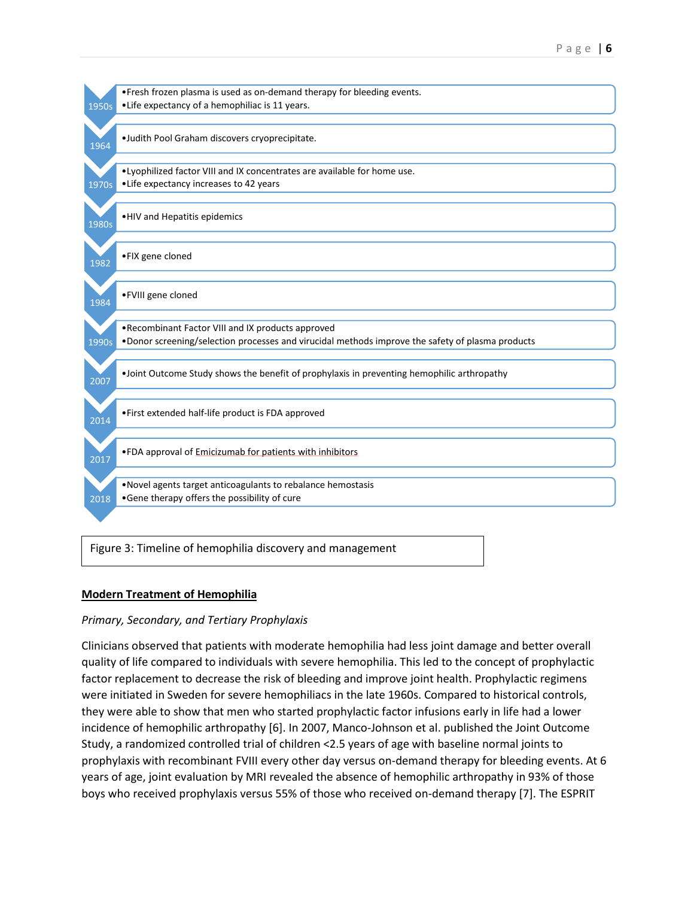

Figure 3: Timeline of hemophilia discovery and management

## **Modern Treatment of Hemophilia**

## *Primary, Secondary, and Tertiary Prophylaxis*

Clinicians observed that patients with moderate hemophilia had less joint damage and better overall quality of life compared to individuals with severe hemophilia. This led to the concept of prophylactic factor replacement to decrease the risk of bleeding and improve joint health. Prophylactic regimens were initiated in Sweden for severe hemophiliacs in the late 1960s. Compared to historical controls, they were able to show that men who started prophylactic factor infusions early in life had a lower incidence of hemophilic arthropathy [6]. In 2007, Manco-Johnson et al. published the Joint Outcome Study, a randomized controlled trial of children <2.5 years of age with baseline normal joints to prophylaxis with recombinant FVIII every other day versus on-demand therapy for bleeding events. At 6 years of age, joint evaluation by MRI revealed the absence of hemophilic arthropathy in 93% of those boys who received prophylaxis versus 55% of those who received on-demand therapy [7]. The ESPRIT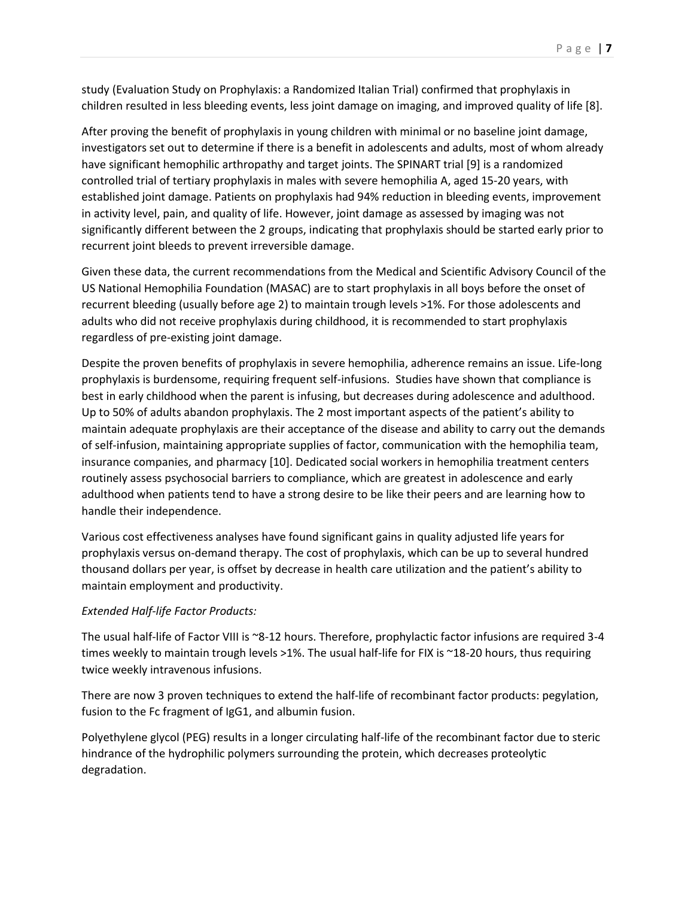study (Evaluation Study on Prophylaxis: a Randomized Italian Trial) confirmed that prophylaxis in children resulted in less bleeding events, less joint damage on imaging, and improved quality of life [8].

After proving the benefit of prophylaxis in young children with minimal or no baseline joint damage, investigators set out to determine if there is a benefit in adolescents and adults, most of whom already have significant hemophilic arthropathy and target joints. The SPINART trial [9] is a randomized controlled trial of tertiary prophylaxis in males with severe hemophilia A, aged 15-20 years, with established joint damage. Patients on prophylaxis had 94% reduction in bleeding events, improvement in activity level, pain, and quality of life. However, joint damage as assessed by imaging was not significantly different between the 2 groups, indicating that prophylaxis should be started early prior to recurrent joint bleeds to prevent irreversible damage.

Given these data, the current recommendations from the Medical and Scientific Advisory Council of the US National Hemophilia Foundation (MASAC) are to start prophylaxis in all boys before the onset of recurrent bleeding (usually before age 2) to maintain trough levels >1%. For those adolescents and adults who did not receive prophylaxis during childhood, it is recommended to start prophylaxis regardless of pre-existing joint damage.

Despite the proven benefits of prophylaxis in severe hemophilia, adherence remains an issue. Life-long prophylaxis is burdensome, requiring frequent self-infusions. Studies have shown that compliance is best in early childhood when the parent is infusing, but decreases during adolescence and adulthood. Up to 50% of adults abandon prophylaxis. The 2 most important aspects of the patient's ability to maintain adequate prophylaxis are their acceptance of the disease and ability to carry out the demands of self-infusion, maintaining appropriate supplies of factor, communication with the hemophilia team, insurance companies, and pharmacy [10]. Dedicated social workers in hemophilia treatment centers routinely assess psychosocial barriers to compliance, which are greatest in adolescence and early adulthood when patients tend to have a strong desire to be like their peers and are learning how to handle their independence.

Various cost effectiveness analyses have found significant gains in quality adjusted life years for prophylaxis versus on-demand therapy. The cost of prophylaxis, which can be up to several hundred thousand dollars per year, is offset by decrease in health care utilization and the patient's ability to maintain employment and productivity.

## *Extended Half-life Factor Products:*

The usual half-life of Factor VIII is ~8-12 hours. Therefore, prophylactic factor infusions are required 3-4 times weekly to maintain trough levels >1%. The usual half-life for FIX is ~18-20 hours, thus requiring twice weekly intravenous infusions.

There are now 3 proven techniques to extend the half-life of recombinant factor products: pegylation, fusion to the Fc fragment of IgG1, and albumin fusion.

Polyethylene glycol (PEG) results in a longer circulating half-life of the recombinant factor due to steric hindrance of the hydrophilic polymers surrounding the protein, which decreases proteolytic degradation.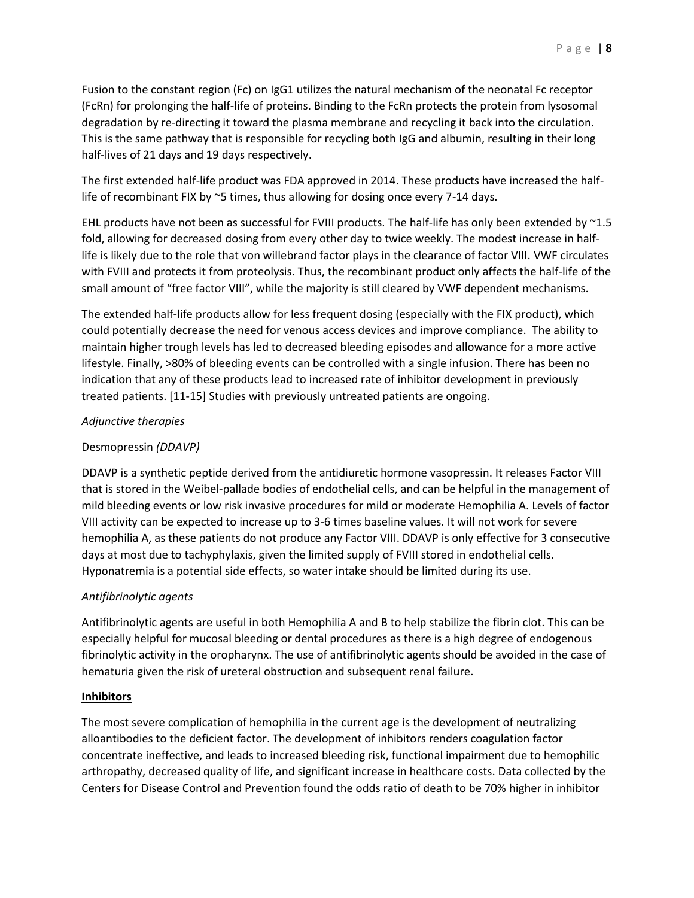The first extended half-life product was FDA approved in 2014. These products have increased the halflife of recombinant FIX by ~5 times, thus allowing for dosing once every 7-14 days.

EHL products have not been as successful for FVIII products. The half-life has only been extended by ~1.5 fold, allowing for decreased dosing from every other day to twice weekly. The modest increase in halflife is likely due to the role that von willebrand factor plays in the clearance of factor VIII. VWF circulates with FVIII and protects it from proteolysis. Thus, the recombinant product only affects the half-life of the small amount of "free factor VIII", while the majority is still cleared by VWF dependent mechanisms.

The extended half-life products allow for less frequent dosing (especially with the FIX product), which could potentially decrease the need for venous access devices and improve compliance. The ability to maintain higher trough levels has led to decreased bleeding episodes and allowance for a more active lifestyle. Finally, >80% of bleeding events can be controlled with a single infusion. There has been no indication that any of these products lead to increased rate of inhibitor development in previously treated patients. [11-15] Studies with previously untreated patients are ongoing.

## *Adjunctive therapies*

# Desmopressin *(DDAVP)*

DDAVP is a synthetic peptide derived from the antidiuretic hormone vasopressin. It releases Factor VIII that is stored in the Weibel-pallade bodies of endothelial cells, and can be helpful in the management of mild bleeding events or low risk invasive procedures for mild or moderate Hemophilia A. Levels of factor VIII activity can be expected to increase up to 3-6 times baseline values. It will not work for severe hemophilia A, as these patients do not produce any Factor VIII. DDAVP is only effective for 3 consecutive days at most due to tachyphylaxis, given the limited supply of FVIII stored in endothelial cells. Hyponatremia is a potential side effects, so water intake should be limited during its use.

# *Antifibrinolytic agents*

Antifibrinolytic agents are useful in both Hemophilia A and B to help stabilize the fibrin clot. This can be especially helpful for mucosal bleeding or dental procedures as there is a high degree of endogenous fibrinolytic activity in the oropharynx. The use of antifibrinolytic agents should be avoided in the case of hematuria given the risk of ureteral obstruction and subsequent renal failure.

## **Inhibitors**

The most severe complication of hemophilia in the current age is the development of neutralizing alloantibodies to the deficient factor. The development of inhibitors renders coagulation factor concentrate ineffective, and leads to increased bleeding risk, functional impairment due to hemophilic arthropathy, decreased quality of life, and significant increase in healthcare costs. Data collected by the Centers for Disease Control and Prevention found the odds ratio of death to be 70% higher in inhibitor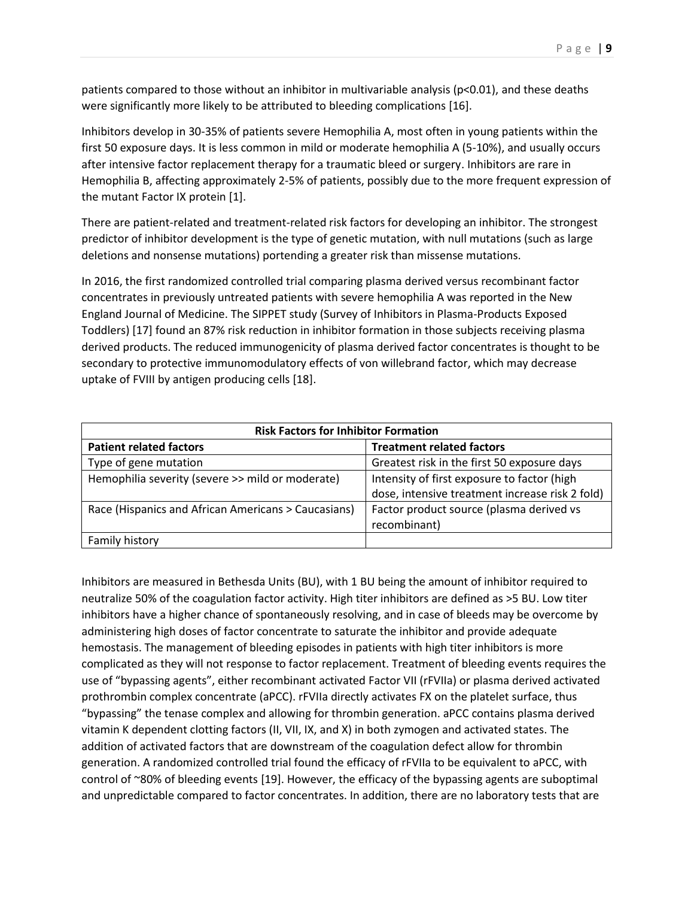patients compared to those without an inhibitor in multivariable analysis (p<0.01), and these deaths were significantly more likely to be attributed to bleeding complications [16].

Inhibitors develop in 30-35% of patients severe Hemophilia A, most often in young patients within the first 50 exposure days. It is less common in mild or moderate hemophilia A (5-10%), and usually occurs after intensive factor replacement therapy for a traumatic bleed or surgery. Inhibitors are rare in Hemophilia B, affecting approximately 2-5% of patients, possibly due to the more frequent expression of the mutant Factor IX protein [1].

There are patient-related and treatment-related risk factors for developing an inhibitor. The strongest predictor of inhibitor development is the type of genetic mutation, with null mutations (such as large deletions and nonsense mutations) portending a greater risk than missense mutations.

In 2016, the first randomized controlled trial comparing plasma derived versus recombinant factor concentrates in previously untreated patients with severe hemophilia A was reported in the New England Journal of Medicine. The SIPPET study (Survey of Inhibitors in Plasma-Products Exposed Toddlers) [17] found an 87% risk reduction in inhibitor formation in those subjects receiving plasma derived products. The reduced immunogenicity of plasma derived factor concentrates is thought to be secondary to protective immunomodulatory effects of von willebrand factor, which may decrease uptake of FVIII by antigen producing cells [18].

| <b>Risk Factors for Inhibitor Formation</b>         |                                                          |  |
|-----------------------------------------------------|----------------------------------------------------------|--|
| <b>Patient related factors</b>                      | <b>Treatment related factors</b>                         |  |
| Type of gene mutation                               | Greatest risk in the first 50 exposure days              |  |
| Hemophilia severity (severe >> mild or moderate)    | Intensity of first exposure to factor (high              |  |
|                                                     | dose, intensive treatment increase risk 2 fold)          |  |
| Race (Hispanics and African Americans > Caucasians) | Factor product source (plasma derived vs<br>recombinant) |  |
| Family history                                      |                                                          |  |

Inhibitors are measured in Bethesda Units (BU), with 1 BU being the amount of inhibitor required to neutralize 50% of the coagulation factor activity. High titer inhibitors are defined as >5 BU. Low titer inhibitors have a higher chance of spontaneously resolving, and in case of bleeds may be overcome by administering high doses of factor concentrate to saturate the inhibitor and provide adequate hemostasis. The management of bleeding episodes in patients with high titer inhibitors is more complicated as they will not response to factor replacement. Treatment of bleeding events requires the use of "bypassing agents", either recombinant activated Factor VII (rFVIIa) or plasma derived activated prothrombin complex concentrate (aPCC). rFVIIa directly activates FX on the platelet surface, thus "bypassing" the tenase complex and allowing for thrombin generation. aPCC contains plasma derived vitamin K dependent clotting factors (II, VII, IX, and X) in both zymogen and activated states. The addition of activated factors that are downstream of the coagulation defect allow for thrombin generation. A randomized controlled trial found the efficacy of rFVIIa to be equivalent to aPCC, with control of ~80% of bleeding events [19]. However, the efficacy of the bypassing agents are suboptimal and unpredictable compared to factor concentrates. In addition, there are no laboratory tests that are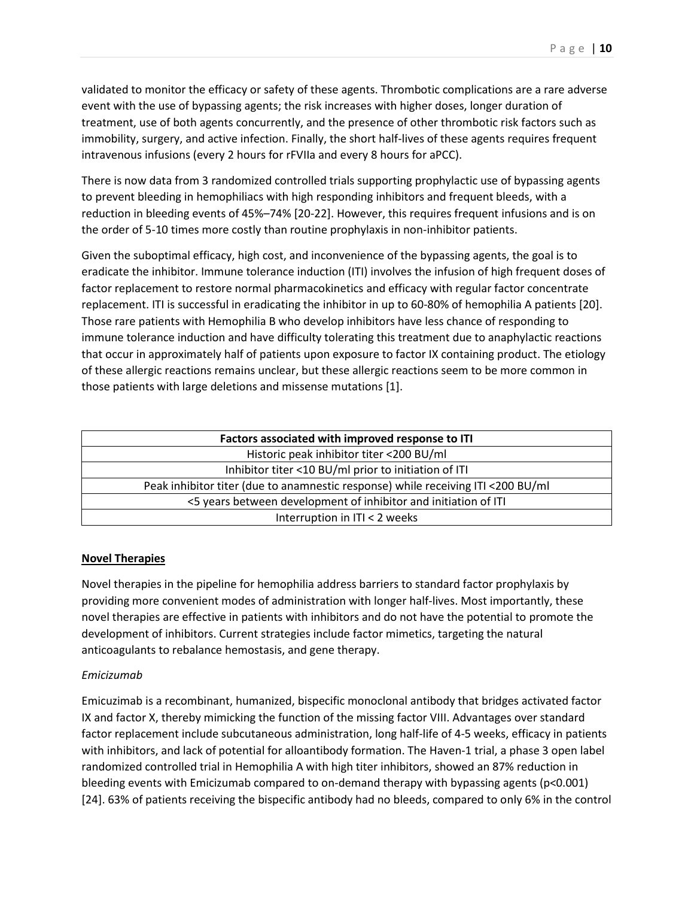validated to monitor the efficacy or safety of these agents. Thrombotic complications are a rare adverse event with the use of bypassing agents; the risk increases with higher doses, longer duration of treatment, use of both agents concurrently, and the presence of other thrombotic risk factors such as immobility, surgery, and active infection. Finally, the short half-lives of these agents requires frequent intravenous infusions (every 2 hours for rFVIIa and every 8 hours for aPCC).

There is now data from 3 randomized controlled trials supporting prophylactic use of bypassing agents to prevent bleeding in hemophiliacs with high responding inhibitors and frequent bleeds, with a reduction in bleeding events of 45%–74% [20-22]. However, this requires frequent infusions and is on the order of 5-10 times more costly than routine prophylaxis in non-inhibitor patients.

Given the suboptimal efficacy, high cost, and inconvenience of the bypassing agents, the goal is to eradicate the inhibitor. Immune tolerance induction (ITI) involves the infusion of high frequent doses of factor replacement to restore normal pharmacokinetics and efficacy with regular factor concentrate replacement. ITI is successful in eradicating the inhibitor in up to 60-80% of hemophilia A patients [20]. Those rare patients with Hemophilia B who develop inhibitors have less chance of responding to immune tolerance induction and have difficulty tolerating this treatment due to anaphylactic reactions that occur in approximately half of patients upon exposure to factor IX containing product. The etiology of these allergic reactions remains unclear, but these allergic reactions seem to be more common in those patients with large deletions and missense mutations [1].

| Factors associated with improved response to ITI                                 |  |  |
|----------------------------------------------------------------------------------|--|--|
| Historic peak inhibitor titer <200 BU/ml                                         |  |  |
| Inhibitor titer <10 BU/ml prior to initiation of ITI                             |  |  |
| Peak inhibitor titer (due to anamnestic response) while receiving ITI <200 BU/ml |  |  |
| <5 years between development of inhibitor and initiation of ITI                  |  |  |
| Interruption in ITI < 2 weeks                                                    |  |  |

## **Novel Therapies**

Novel therapies in the pipeline for hemophilia address barriers to standard factor prophylaxis by providing more convenient modes of administration with longer half-lives. Most importantly, these novel therapies are effective in patients with inhibitors and do not have the potential to promote the development of inhibitors. Current strategies include factor mimetics, targeting the natural anticoagulants to rebalance hemostasis, and gene therapy.

#### *Emicizumab*

Emicuzimab is a recombinant, humanized, bispecific monoclonal antibody that bridges activated factor IX and factor X, thereby mimicking the function of the missing factor VIII. Advantages over standard factor replacement include subcutaneous administration, long half-life of 4-5 weeks, efficacy in patients with inhibitors, and lack of potential for alloantibody formation. The Haven-1 trial, a phase 3 open label randomized controlled trial in Hemophilia A with high titer inhibitors, showed an 87% reduction in bleeding events with Emicizumab compared to on-demand therapy with bypassing agents (p<0.001) [24]. 63% of patients receiving the bispecific antibody had no bleeds, compared to only 6% in the control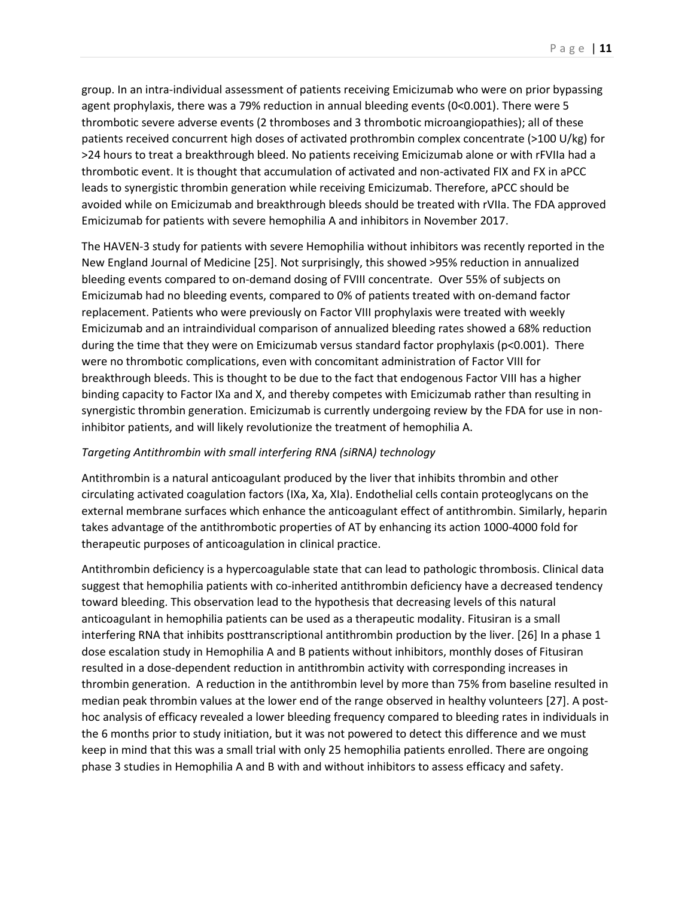group. In an intra-individual assessment of patients receiving Emicizumab who were on prior bypassing agent prophylaxis, there was a 79% reduction in annual bleeding events (0<0.001). There were 5 thrombotic severe adverse events (2 thromboses and 3 thrombotic microangiopathies); all of these patients received concurrent high doses of activated prothrombin complex concentrate (>100 U/kg) for >24 hours to treat a breakthrough bleed. No patients receiving Emicizumab alone or with rFVIIa had a thrombotic event. It is thought that accumulation of activated and non-activated FIX and FX in aPCC leads to synergistic thrombin generation while receiving Emicizumab. Therefore, aPCC should be avoided while on Emicizumab and breakthrough bleeds should be treated with rVIIa. The FDA approved Emicizumab for patients with severe hemophilia A and inhibitors in November 2017.

The HAVEN-3 study for patients with severe Hemophilia without inhibitors was recently reported in the New England Journal of Medicine [25]. Not surprisingly, this showed >95% reduction in annualized bleeding events compared to on-demand dosing of FVIII concentrate. Over 55% of subjects on Emicizumab had no bleeding events, compared to 0% of patients treated with on-demand factor replacement. Patients who were previously on Factor VIII prophylaxis were treated with weekly Emicizumab and an intraindividual comparison of annualized bleeding rates showed a 68% reduction during the time that they were on Emicizumab versus standard factor prophylaxis (p<0.001). There were no thrombotic complications, even with concomitant administration of Factor VIII for breakthrough bleeds. This is thought to be due to the fact that endogenous Factor VIII has a higher binding capacity to Factor IXa and X, and thereby competes with Emicizumab rather than resulting in synergistic thrombin generation. Emicizumab is currently undergoing review by the FDA for use in noninhibitor patients, and will likely revolutionize the treatment of hemophilia A.

#### *Targeting Antithrombin with small interfering RNA (siRNA) technology*

Antithrombin is a natural anticoagulant produced by the liver that inhibits thrombin and other circulating activated coagulation factors (IXa, Xa, XIa). Endothelial cells contain proteoglycans on the external membrane surfaces which enhance the anticoagulant effect of antithrombin. Similarly, heparin takes advantage of the antithrombotic properties of AT by enhancing its action 1000-4000 fold for therapeutic purposes of anticoagulation in clinical practice.

Antithrombin deficiency is a hypercoagulable state that can lead to pathologic thrombosis. Clinical data suggest that hemophilia patients with co-inherited antithrombin deficiency have a decreased tendency toward bleeding. This observation lead to the hypothesis that decreasing levels of this natural anticoagulant in hemophilia patients can be used as a therapeutic modality. Fitusiran is a small interfering RNA that inhibits posttranscriptional antithrombin production by the liver. [26] In a phase 1 dose escalation study in Hemophilia A and B patients without inhibitors, monthly doses of Fitusiran resulted in a dose-dependent reduction in antithrombin activity with corresponding increases in thrombin generation. A reduction in the antithrombin level by more than 75% from baseline resulted in median peak thrombin values at the lower end of the range observed in healthy volunteers [27]. A posthoc analysis of efficacy revealed a lower bleeding frequency compared to bleeding rates in individuals in the 6 months prior to study initiation, but it was not powered to detect this difference and we must keep in mind that this was a small trial with only 25 hemophilia patients enrolled. There are ongoing phase 3 studies in Hemophilia A and B with and without inhibitors to assess efficacy and safety.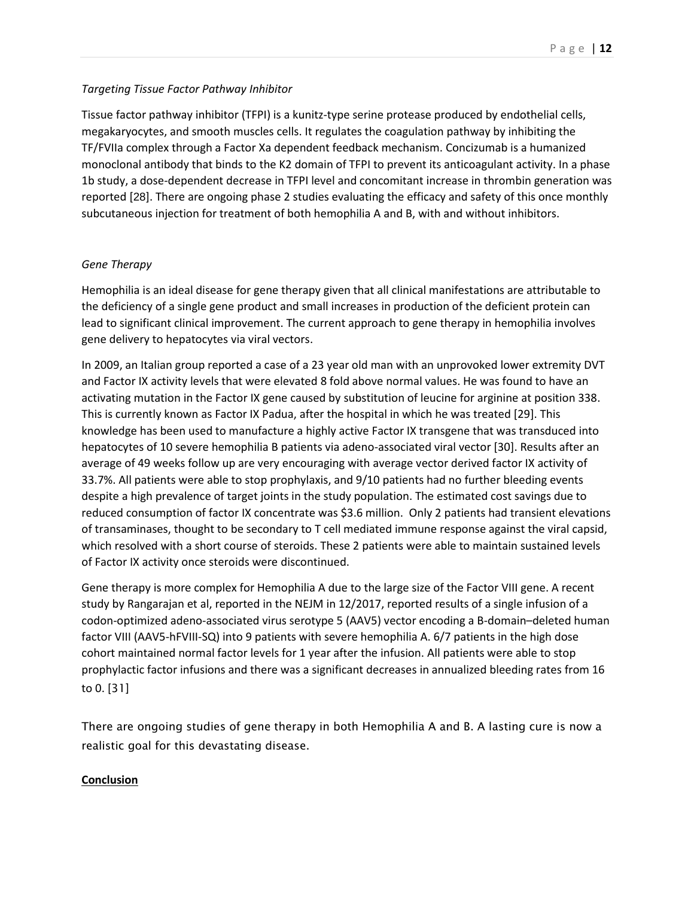## *Targeting Tissue Factor Pathway Inhibitor*

Tissue factor pathway inhibitor (TFPI) is a kunitz-type serine protease produced by endothelial cells, megakaryocytes, and smooth muscles cells. It regulates the coagulation pathway by inhibiting the TF/FVIIa complex through a Factor Xa dependent feedback mechanism. Concizumab is a humanized monoclonal antibody that binds to the K2 domain of TFPI to prevent its anticoagulant activity. In a phase 1b study, a dose-dependent decrease in TFPI level and concomitant increase in thrombin generation was reported [28]. There are ongoing phase 2 studies evaluating the efficacy and safety of this once monthly subcutaneous injection for treatment of both hemophilia A and B, with and without inhibitors.

## *Gene Therapy*

Hemophilia is an ideal disease for gene therapy given that all clinical manifestations are attributable to the deficiency of a single gene product and small increases in production of the deficient protein can lead to significant clinical improvement. The current approach to gene therapy in hemophilia involves gene delivery to hepatocytes via viral vectors.

In 2009, an Italian group reported a case of a 23 year old man with an unprovoked lower extremity DVT and Factor IX activity levels that were elevated 8 fold above normal values. He was found to have an activating mutation in the Factor IX gene caused by substitution of leucine for arginine at position 338. This is currently known as Factor IX Padua, after the hospital in which he was treated [29]. This knowledge has been used to manufacture a highly active Factor IX transgene that was transduced into hepatocytes of 10 severe hemophilia B patients via adeno-associated viral vector [30]. Results after an average of 49 weeks follow up are very encouraging with average vector derived factor IX activity of 33.7%. All patients were able to stop prophylaxis, and 9/10 patients had no further bleeding events despite a high prevalence of target joints in the study population. The estimated cost savings due to reduced consumption of factor IX concentrate was \$3.6 million. Only 2 patients had transient elevations of transaminases, thought to be secondary to T cell mediated immune response against the viral capsid, which resolved with a short course of steroids. These 2 patients were able to maintain sustained levels of Factor IX activity once steroids were discontinued.

Gene therapy is more complex for Hemophilia A due to the large size of the Factor VIII gene. A recent study by Rangarajan et al, reported in the NEJM in 12/2017, reported results of a single infusion of a codon-optimized adeno-associated virus serotype 5 (AAV5) vector encoding a B-domain–deleted human factor VIII (AAV5-hFVIII-SQ) into 9 patients with severe hemophilia A. 6/7 patients in the high dose cohort maintained normal factor levels for 1 year after the infusion. All patients were able to stop prophylactic factor infusions and there was a significant decreases in annualized bleeding rates from 16 to 0. [31]

There are ongoing studies of gene therapy in both Hemophilia A and B. A lasting cure is now a realistic goal for this devastating disease.

## **Conclusion**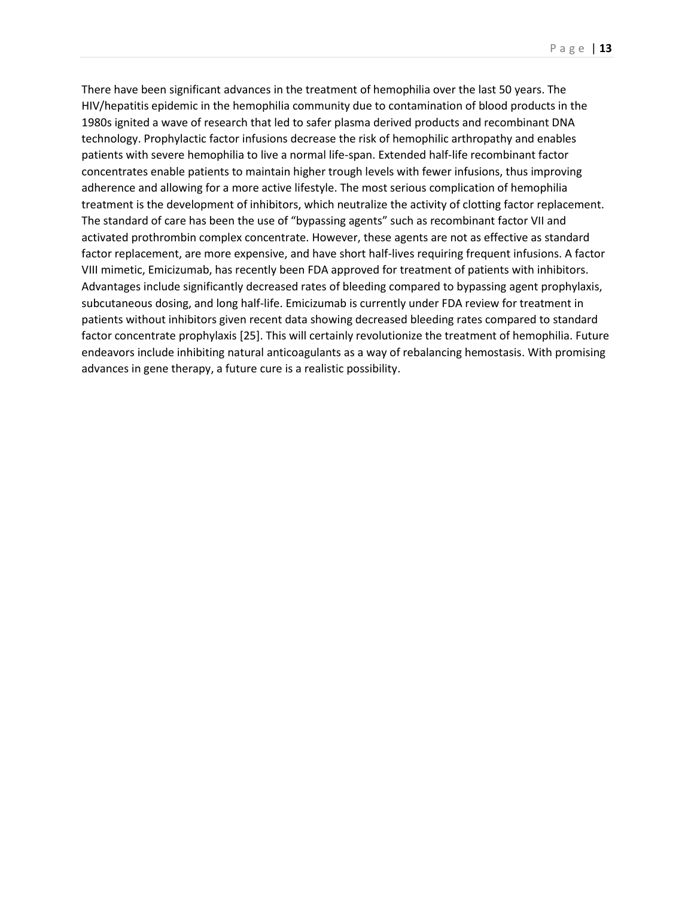There have been significant advances in the treatment of hemophilia over the last 50 years. The HIV/hepatitis epidemic in the hemophilia community due to contamination of blood products in the 1980s ignited a wave of research that led to safer plasma derived products and recombinant DNA technology. Prophylactic factor infusions decrease the risk of hemophilic arthropathy and enables patients with severe hemophilia to live a normal life-span. Extended half-life recombinant factor concentrates enable patients to maintain higher trough levels with fewer infusions, thus improving adherence and allowing for a more active lifestyle. The most serious complication of hemophilia treatment is the development of inhibitors, which neutralize the activity of clotting factor replacement. The standard of care has been the use of "bypassing agents" such as recombinant factor VII and activated prothrombin complex concentrate. However, these agents are not as effective as standard factor replacement, are more expensive, and have short half-lives requiring frequent infusions. A factor VIII mimetic, Emicizumab, has recently been FDA approved for treatment of patients with inhibitors. Advantages include significantly decreased rates of bleeding compared to bypassing agent prophylaxis, subcutaneous dosing, and long half-life. Emicizumab is currently under FDA review for treatment in patients without inhibitors given recent data showing decreased bleeding rates compared to standard factor concentrate prophylaxis [25]. This will certainly revolutionize the treatment of hemophilia. Future endeavors include inhibiting natural anticoagulants as a way of rebalancing hemostasis. With promising advances in gene therapy, a future cure is a realistic possibility.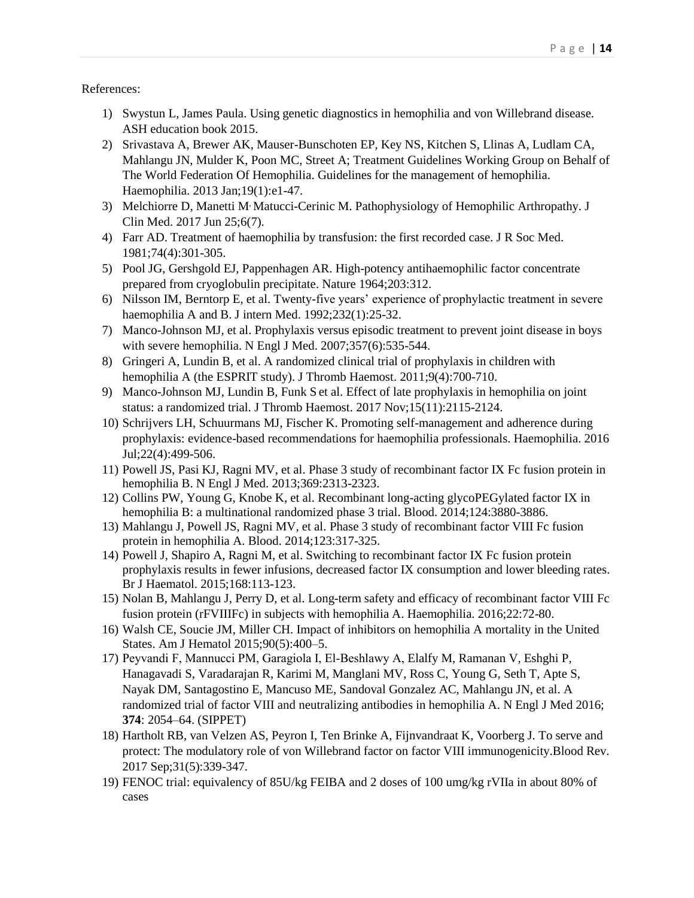#### References:

- 1) Swystun L, James Paula. Using genetic diagnostics in hemophilia and von Willebrand disease. ASH education book 2015.
- 2) Srivastava A, Brewer AK, Mauser-Bunschoten EP, Key NS, Kitchen S, Llinas A, Ludlam CA, Mahlangu JN, Mulder K, Poon MC, Street A; Treatment Guidelines Working Group on Behalf of The World Federation Of Hemophilia. Guidelines for the management of hemophilia. Haemophilia. 2013 Jan;19(1):e1-47.
- 3) Melchiorre D, [Manetti M](https://www.ncbi.nlm.nih.gov/pubmed/?term=Manetti%20M%5BAuthor%5D&cauthor=true&cauthor_uid=28672826) Matucci-Cerinic M. Pathophysiology of Hemophilic Arthropathy. J [Clin Med.](https://www.ncbi.nlm.nih.gov/pubmed/28672826) 2017 Jun 25;6(7).
- 4) Farr AD. Treatment of haemophilia by transfusion: the first recorded case. J R Soc Med. 1981;74(4):301-305.
- 5) Pool JG, Gershgold EJ, Pappenhagen AR. High-potency antihaemophilic factor concentrate prepared from cryoglobulin precipitate. Nature 1964;203:312.
- 6) Nilsson IM, Berntorp E, et al. Twenty-five years' experience of prophylactic treatment in severe haemophilia A and B. J intern Med. 1992;232(1):25-32.
- 7) Manco-Johnson MJ, et al. Prophylaxis versus episodic treatment to prevent joint disease in boys with severe hemophilia. N Engl J Med. 2007;357(6):535-544.
- 8) Gringeri A, Lundin B, et al. A randomized clinical trial of prophylaxis in children with hemophilia A (the ESPRIT study). J Thromb Haemost. 2011;9(4):700-710.
- 9) Manco-Johnson MJ, Lundin B, [Funk S](https://www.ncbi.nlm.nih.gov/pubmed/?term=Funk%20S%5BAuthor%5D&cauthor=true&cauthor_uid=28836341) et al. Effect of late prophylaxis in hemophilia on joint status: a randomized trial. [J Thromb Haemost.](https://www.ncbi.nlm.nih.gov/pubmed/?term=Effect+of+late+prophylaxis+in+hemophilia+on+joint+status%3A+a+randomized+trial) 2017 Nov;15(11):2115-2124.
- 10) Schrijvers LH, Schuurmans MJ, Fischer K. Promoting self-management and adherence during prophylaxis: evidence-based recommendations for haemophilia professionals. Haemophilia. 2016 Jul;22(4):499-506.
- 11) Powell JS, Pasi KJ, Ragni MV, et al. [Phase 3 study of recombinant factor IX Fc fusion protein in](http://www.ncbi.nlm.nih.gov/pubmed/24304002)  [hemophilia B.](http://www.ncbi.nlm.nih.gov/pubmed/24304002) N Engl J Med. 2013;369:2313-2323.
- 12) Collins PW, Young G, Knobe K, et al. [Recombinant long-acting glycoPEGylated factor IX in](http://www.ncbi.nlm.nih.gov/pubmed/25261199)  [hemophilia B: a multinational randomized phase 3 trial.](http://www.ncbi.nlm.nih.gov/pubmed/25261199) Blood. 2014;124:3880-3886.
- 13) Mahlangu J, Powell JS, Ragni MV, et al[. Phase 3 study of recombinant factor VIII Fc fusion](http://www.ncbi.nlm.nih.gov/pubmed/24227821)  [protein in hemophilia A.](http://www.ncbi.nlm.nih.gov/pubmed/24227821) Blood. 2014;123:317-325.
- 14) Powell J, Shapiro A, Ragni M, et al. [Switching to recombinant factor IX Fc fusion protein](http://www.ncbi.nlm.nih.gov/pubmed/25209873)  [prophylaxis results in fewer infusions, decreased factor IX consumption and lower bleeding rates.](http://www.ncbi.nlm.nih.gov/pubmed/25209873) Br J Haematol. 2015;168:113-123.
- 15) Nolan B, Mahlangu J, Perry D, et al. [Long-term safety and efficacy of recombinant factor VIII Fc](https://www.ncbi.nlm.nih.gov/pubmed/26218032)  [fusion protein \(rFVIIIFc\) in subjects with hemophilia A.](https://www.ncbi.nlm.nih.gov/pubmed/26218032) Haemophilia. 2016;22:72-80.
- 16) Walsh CE, Soucie JM, Miller CH. Impact of inhibitors on hemophilia A mortality in the United States. Am J Hematol 2015;90(5):400–5.
- 17) Peyvandi F, Mannucci PM, Garagiola I, El‐Beshlawy A, Elalfy M, Ramanan V, Eshghi P, Hanagavadi S, Varadarajan R, Karimi M, Manglani MV, Ross C, Young G, Seth T, Apte S, Nayak DM, Santagostino E, Mancuso ME, Sandoval Gonzalez AC, Mahlangu JN, et al. A randomized trial of factor VIII and neutralizing antibodies in hemophilia A. N Engl J Med 2016; **374**: 2054–64. (SIPPET)
- 18) Hartholt RB, [van Velzen AS,](https://www.ncbi.nlm.nih.gov/pubmed/?term=van%20Velzen%20AS%5BAuthor%5D&cauthor=true&cauthor_uid=28716211) [Peyron I,](https://www.ncbi.nlm.nih.gov/pubmed/?term=Peyron%20I%5BAuthor%5D&cauthor=true&cauthor_uid=28716211) [Ten Brinke A,](https://www.ncbi.nlm.nih.gov/pubmed/?term=Ten%20Brinke%20A%5BAuthor%5D&cauthor=true&cauthor_uid=28716211) Fijnvandraat K, Voorberg J. To serve and protect: The modulatory role of von Willebrand factor on factor VIII immunogenicity.Blood Rev. 2017 Sep;31(5):339-347.
- 19) FENOC trial: equivalency of 85U/kg FEIBA and 2 doses of 100 umg/kg rVIIa in about 80% of cases